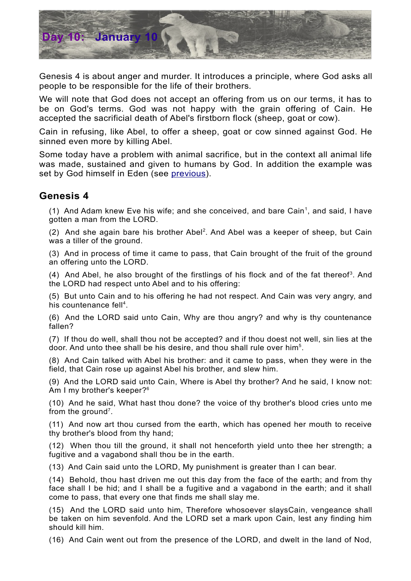

Genesis 4 is about anger and murder. It introduces a principle, where God asks all people to be responsible for the life of their brothers*.*

We will note that God does not accept an offering from us on our terms, it has to be on God's terms. God was not happy with the grain offering of Cain. He accepted the sacrificial death of Abel's firstborn flock (sheep, goat or cow).

Cain in refusing, like Abel, to offer a sheep, goat or cow sinned against God. He sinned even more by killing Abel.

Some today have a problem with animal sacrifice, but in the context all animal life was made, sustained and given to humans by God. In addition the example was set by God himself in Eden (see [previous\)](http://biblefocus.net/files/D9January9_Genesis3.pdf).

## **Genesis 4**

([1](#page-1-0)) And Adam knew Eve his wife; and she conceived, and bare Cain<sup>1</sup>, and said, I have gotten a man from the LORD.

([2](#page-1-1)) And she again bare his brother Abel<sup>2</sup>. And Abel was a keeper of sheep, but Cain was a tiller of the ground.

(3) And in process of time it came to pass, that Cain brought of the fruit of the ground an offering unto the LORD.

 $(4)$  And Abel, he also brought of the firstlings of his flock and of the fat thereof<sup>[3](#page-1-2)</sup>. And the LORD had respect unto Abel and to his offering:

(5) But unto Cain and to his offering he had not respect. And Cain was very angry, and his countenance fell<sup>[4](#page-1-3)</sup>.

(6) And the LORD said unto Cain, Why are thou angry? and why is thy countenance fallen?

(7) If thou do well, shall thou not be accepted? and if thou doest not well, sin lies at the door. And unto thee shall be his desire, and thou shall rule over him<sup>[5](#page-1-4)</sup>.

(8) And Cain talked with Abel his brother: and it came to pass, when they were in the field, that Cain rose up against Abel his brother, and slew him.

(9) And the LORD said unto Cain, Where is Abel thy brother? And he said, I know not: Am I my brother's keeper?<sup>[6](#page-1-5)</sup>

(10) And he said, What hast thou done? the voice of thy brother's blood cries unto me from the ground<sup>[7](#page-1-6)</sup>.

(11) And now art thou cursed from the earth, which has opened her mouth to receive thy brother's blood from thy hand;

(12) When thou till the ground, it shall not henceforth yield unto thee her strength; a fugitive and a vagabond shall thou be in the earth.

(13) And Cain said unto the LORD, My punishment is greater than I can bear.

(14) Behold, thou hast driven me out this day from the face of the earth; and from thy face shall I be hid; and I shall be a fugitive and a vagabond in the earth; and it shall come to pass, that every one that finds me shall slay me.

(15) And the LORD said unto him, Therefore whosoever slaysCain, vengeance shall be taken on him sevenfold. And the LORD set a mark upon Cain, lest any finding him should kill him.

(16) And Cain went out from the presence of the LORD, and dwelt in the land of Nod,